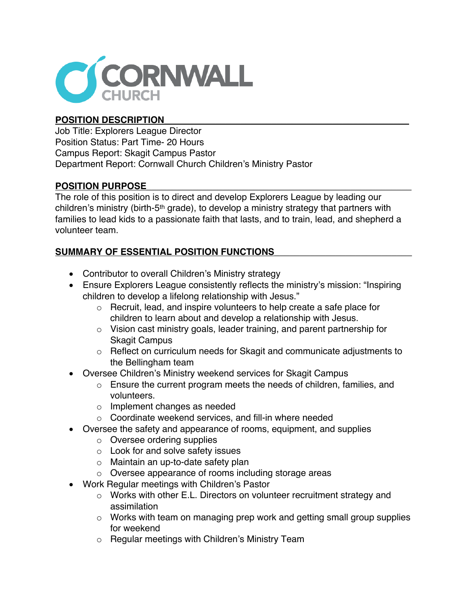

## **POSITION DESCRIPTION\_\_\_\_\_\_\_\_\_\_\_\_\_\_\_\_\_\_\_\_\_\_\_\_\_\_\_\_\_\_\_\_\_\_\_\_\_\_\_\_\_\_\_\_\_\_\_\_**

Job Title: Explorers League Director Position Status: Part Time- 20 Hours Campus Report: Skagit Campus Pastor Department Report: Cornwall Church Children's Ministry Pastor

## **POSITION PURPOSE\_\_\_\_\_\_\_\_\_\_\_\_\_\_\_\_\_\_\_\_\_\_\_\_\_\_\_\_\_\_\_\_\_\_\_\_\_\_\_\_\_\_\_\_\_\_\_\_\_\_\_\_**

The role of this position is to direct and develop Explorers League by leading our children's ministry (birth-5th grade), to develop a ministry strategy that partners with families to lead kids to a passionate faith that lasts, and to train, lead, and shepherd a volunteer team.

## SUMMARY OF ESSENTIAL POSITION FUNCTIONS

- Contributor to overall Children's Ministry strategy
- Ensure Explorers League consistently reflects the ministry's mission: "Inspiring children to develop a lifelong relationship with Jesus."
	- o Recruit, lead, and inspire volunteers to help create a safe place for children to learn about and develop a relationship with Jesus.
	- $\circ$  Vision cast ministry goals, leader training, and parent partnership for Skagit Campus
	- o Reflect on curriculum needs for Skagit and communicate adjustments to the Bellingham team
- Oversee Children's Ministry weekend services for Skagit Campus
	- o Ensure the current program meets the needs of children, families, and volunteers.
	- o Implement changes as needed
	- o Coordinate weekend services, and fill-in where needed
- Oversee the safety and appearance of rooms, equipment, and supplies
	- o Oversee ordering supplies
	- o Look for and solve safety issues
	- o Maintain an up-to-date safety plan
	- o Oversee appearance of rooms including storage areas
- Work Regular meetings with Children's Pastor
	- o Works with other E.L. Directors on volunteer recruitment strategy and assimilation
	- o Works with team on managing prep work and getting small group supplies for weekend
	- o Regular meetings with Children's Ministry Team